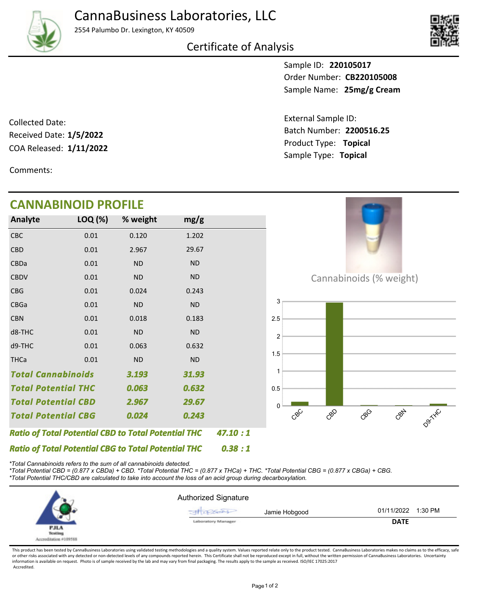

D9TXXC

2554 Palumbo Dr. Lexington, KY 40509

Certificate of Analysis

Sample ID: **220105017** Sample Name: 25mg/g Cream Order Number: **CB220105008**

Product Type: **Topical 1/11/2022** Batch Number: **2200516.25** External Sample ID: Sample Type: **Topical**

COA Released: 1/11/2022 Collected Date: Received Date: **1/5/2022**

Comments:

## **CANNABINOID PROFILE**

| CANNADINUID PRUFILE        |         |                                                            |           |         |                           |
|----------------------------|---------|------------------------------------------------------------|-----------|---------|---------------------------|
| Analyte                    | LOQ (%) | % weight                                                   | mg/g      |         |                           |
| <b>CBC</b>                 | 0.01    | 0.120                                                      | 1.202     |         |                           |
| <b>CBD</b>                 | 0.01    | 2.967                                                      | 29.67     |         |                           |
| <b>CBDa</b>                | 0.01    | <b>ND</b>                                                  | <b>ND</b> |         |                           |
| <b>CBDV</b>                | 0.01    | <b>ND</b>                                                  | <b>ND</b> |         | Cannabinoids (% weight)   |
| <b>CBG</b>                 | 0.01    | 0.024                                                      | 0.243     |         |                           |
| <b>CBGa</b>                | 0.01    | <b>ND</b>                                                  | <b>ND</b> |         | 3                         |
| <b>CBN</b>                 | 0.01    | 0.018                                                      | 0.183     |         | 2.5                       |
| d8-THC                     | 0.01    | <b>ND</b>                                                  | <b>ND</b> |         | $\overline{2}$            |
| d9-THC                     | 0.01    | 0.063                                                      | 0.632     |         |                           |
| <b>THCa</b>                | 0.01    | <b>ND</b>                                                  | ND        |         | 1.5                       |
| <b>Total Cannabinoids</b>  |         | 3.193                                                      | 31.93     |         |                           |
| <b>Total Potential THC</b> |         | 0.063                                                      | 0.632     |         | 0.5                       |
| <b>Total Potential CBD</b> |         | 2.967                                                      | 29.67     |         | $\mathbf{0}$              |
| <b>Total Potential CBG</b> |         | 0.024                                                      | 0.243     |         | CBC<br>CBY<br>cop<br>coco |
|                            |         | <b>Ratio of Total Potential CBD to Total Potential THC</b> |           | 47.10:1 |                           |
|                            |         | <b>Ratio of Total Potential CBG to Total Potential THC</b> |           | 0.38:1  |                           |

*\*Total Cannabinoids refers to the sum of all cannabinoids detected.*

*\*Total Potential CBD = (0.877 x CBDa) + CBD. \*Total Potential THC = (0.877 x THCa) + THC. \*Total Potential CBG = (0.877 x CBGa) + CBG. \*Total Potential THC/CBD are calculated to take into account the loss of an acid group during decarboxylation.*



This product has been tested by CannaBusiness Laboratories using validated testing methodologies and a quality system. Values reported relate only to the product tested. CannaBusiness Laboratories makes no claims as to the or other risks associated with any detected or non-detected levels of any compounds reported herein. This Certificate shall not be reproduced except in full, without the written permission of CannaBusiness Laboratories. Un information is available on request. Photo is of sample received by the lab and may vary from final packaging. The results apply to the sample as received. ISO/IEC 17025:2017 Accredited.